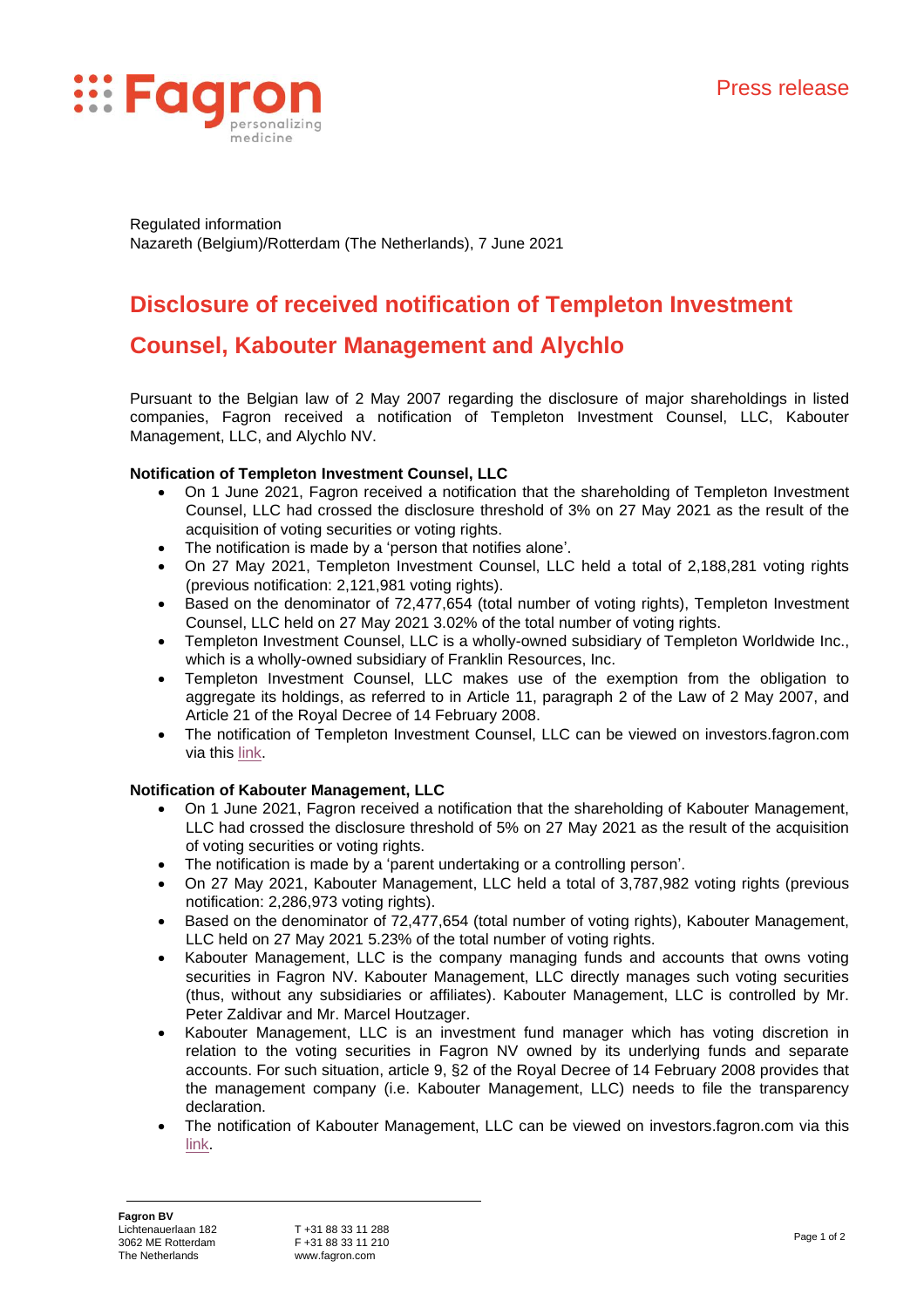

Regulated information Nazareth (Belgium)/Rotterdam (The Netherlands), 7 June 2021

# **Disclosure of received notification of Templeton Investment**

## **Counsel, Kabouter Management and Alychlo**

Pursuant to the Belgian law of 2 May 2007 regarding the disclosure of major shareholdings in listed companies, Fagron received a notification of Templeton Investment Counsel, LLC, Kabouter Management, LLC, and Alychlo NV.

## **Notification of Templeton Investment Counsel, LLC**

- On 1 June 2021, Fagron received a notification that the shareholding of Templeton Investment Counsel, LLC had crossed the disclosure threshold of 3% on 27 May 2021 as the result of the acquisition of voting securities or voting rights.
- The notification is made by a 'person that notifies alone'.
- On 27 May 2021, Templeton Investment Counsel, LLC held a total of 2,188,281 voting rights (previous notification: 2,121,981 voting rights).
- Based on the denominator of 72,477,654 (total number of voting rights), Templeton Investment Counsel, LLC held on 27 May 2021 3.02% of the total number of voting rights.
- Templeton Investment Counsel, LLC is a wholly-owned subsidiary of Templeton Worldwide Inc., which is a wholly-owned subsidiary of Franklin Resources, Inc.
- Templeton Investment Counsel, LLC makes use of the exemption from the obligation to aggregate its holdings, as referred to in Article 11, paragraph 2 of the Law of 2 May 2007, and Article 21 of the Royal Decree of 14 February 2008.
- The notification of Templeton Investment Counsel, LLC can be viewed on investors.fagron.com via this [link.](https://investors.fagron.com/notification-shareholdings)

## **Notification of Kabouter Management, LLC**

- On 1 June 2021, Fagron received a notification that the shareholding of Kabouter Management, LLC had crossed the disclosure threshold of 5% on 27 May 2021 as the result of the acquisition of voting securities or voting rights.
- The notification is made by a 'parent undertaking or a controlling person'.
- On 27 May 2021, Kabouter Management, LLC held a total of 3,787,982 voting rights (previous notification: 2,286,973 voting rights).
- Based on the denominator of 72,477,654 (total number of voting rights), Kabouter Management, LLC held on 27 May 2021 5.23% of the total number of voting rights.
- Kabouter Management, LLC is the company managing funds and accounts that owns voting securities in Fagron NV. Kabouter Management, LLC directly manages such voting securities (thus, without any subsidiaries or affiliates). Kabouter Management, LLC is controlled by Mr. Peter Zaldivar and Mr. Marcel Houtzager.
- Kabouter Management, LLC is an investment fund manager which has voting discretion in relation to the voting securities in Fagron NV owned by its underlying funds and separate accounts. For such situation, article 9, §2 of the Royal Decree of 14 February 2008 provides that the management company (i.e. Kabouter Management, LLC) needs to file the transparency declaration.
- The notification of Kabouter Management, LLC can be viewed on investors.fagron.com via this [link.](https://investors.fagron.com/notification-shareholdings)